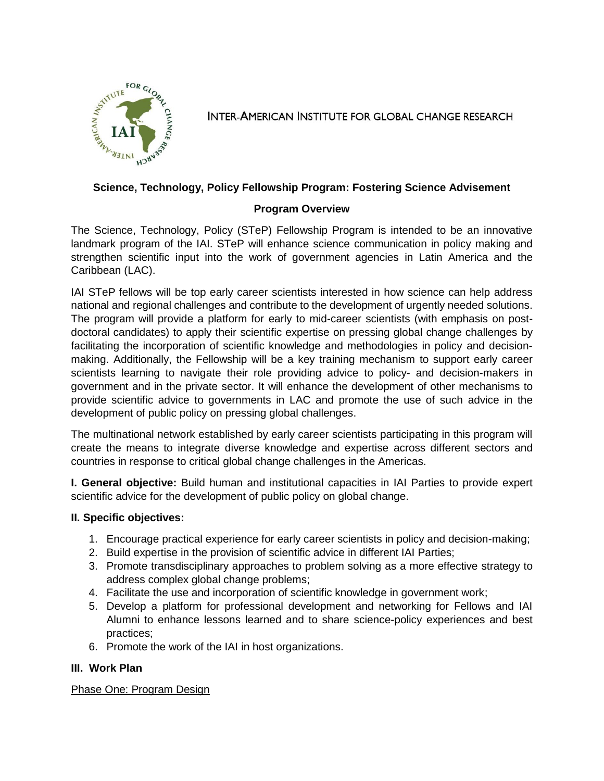

**INTER-AMERICAN INSTITUTE FOR GLOBAL CHANGE RESEARCH** 

### **Science, Technology, Policy Fellowship Program: Fostering Science Advisement**

### **Program Overview**

The Science, Technology, Policy (STeP) Fellowship Program is intended to be an innovative landmark program of the IAI. STeP will enhance science communication in policy making and strengthen scientific input into the work of government agencies in Latin America and the Caribbean (LAC).

IAI STeP fellows will be top early career scientists interested in how science can help address national and regional challenges and contribute to the development of urgently needed solutions. The program will provide a platform for early to mid-career scientists (with emphasis on postdoctoral candidates) to apply their scientific expertise on pressing global change challenges by facilitating the incorporation of scientific knowledge and methodologies in policy and decisionmaking. Additionally, the Fellowship will be a key training mechanism to support early career scientists learning to navigate their role providing advice to policy- and decision-makers in government and in the private sector. It will enhance the development of other mechanisms to provide scientific advice to governments in LAC and promote the use of such advice in the development of public policy on pressing global challenges.

The multinational network established by early career scientists participating in this program will create the means to integrate diverse knowledge and expertise across different sectors and countries in response to critical global change challenges in the Americas.

**I. General objective:** Build human and institutional capacities in IAI Parties to provide expert scientific advice for the development of public policy on global change.

### **II. Specific objectives:**

- 1. Encourage practical experience for early career scientists in policy and decision-making;
- 2. Build expertise in the provision of scientific advice in different IAI Parties;
- 3. Promote transdisciplinary approaches to problem solving as a more effective strategy to address complex global change problems;
- 4. Facilitate the use and incorporation of scientific knowledge in government work;
- 5. Develop a platform for professional development and networking for Fellows and IAI Alumni to enhance lessons learned and to share science-policy experiences and best practices;
- 6. Promote the work of the IAI in host organizations.

# **III. Work Plan**

# Phase One: Program Design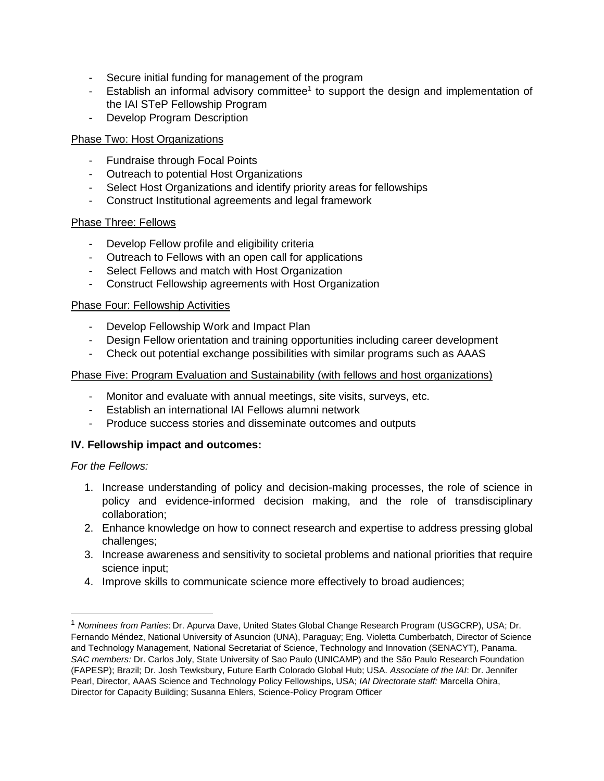- Secure initial funding for management of the program
- Establish an informal advisory committee<sup>1</sup> to support the design and implementation of the IAI STeP Fellowship Program
- Develop Program Description

### Phase Two: Host Organizations

- Fundraise through Focal Points
- Outreach to potential Host Organizations
- Select Host Organizations and identify priority areas for fellowships
- Construct Institutional agreements and legal framework

### Phase Three: Fellows

- Develop Fellow profile and eligibility criteria
- Outreach to Fellows with an open call for applications
- Select Fellows and match with Host Organization
- Construct Fellowship agreements with Host Organization

### Phase Four: Fellowship Activities

- Develop Fellowship Work and Impact Plan
- Design Fellow orientation and training opportunities including career development
- Check out potential exchange possibilities with similar programs such as AAAS

#### Phase Five: Program Evaluation and Sustainability (with fellows and host organizations)

- Monitor and evaluate with annual meetings, site visits, surveys, etc.
- Establish an international IAI Fellows alumni network
- Produce success stories and disseminate outcomes and outputs

### **IV. Fellowship impact and outcomes:**

### *For the Fellows:*

 $\overline{\phantom{a}}$ 

- 1. Increase understanding of policy and decision-making processes, the role of science in policy and evidence-informed decision making, and the role of transdisciplinary collaboration;
- 2. Enhance knowledge on how to connect research and expertise to address pressing global challenges;
- 3. Increase awareness and sensitivity to societal problems and national priorities that require science input;
- 4. Improve skills to communicate science more effectively to broad audiences;

<sup>1</sup> *Nominees from Parties*: Dr. Apurva Dave, United States Global Change Research Program (USGCRP), USA; Dr. Fernando Méndez, National University of Asuncion (UNA), Paraguay; Eng. Violetta Cumberbatch, Director of Science and Technology Management, National Secretariat of Science, Technology and Innovation (SENACYT), Panama. *SAC members:* Dr. Carlos Joly, State University of Sao Paulo (UNICAMP) and the São Paulo Research Foundation (FAPESP); Brazil; Dr. Josh Tewksbury, Future Earth Colorado Global Hub; USA. *Associate of the IAI*: Dr. Jennifer Pearl, Director, AAAS Science and Technology Policy Fellowships, USA; *IAI Directorate staff:* Marcella Ohira, Director for Capacity Building; Susanna Ehlers, Science-Policy Program Officer